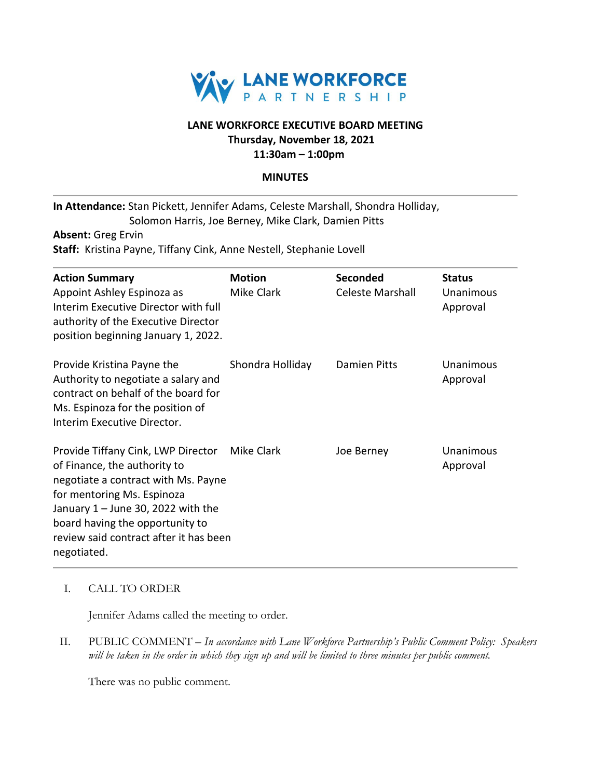

# **LANE WORKFORCE EXECUTIVE BOARD MEETING Thursday, November 18, 2021**

**11:30am – 1:00pm**

## **MINUTES**

**In Attendance:** Stan Pickett, Jennifer Adams, Celeste Marshall, Shondra Holliday, Solomon Harris, Joe Berney, Mike Clark, Damien Pitts

**Absent:** Greg Ervin

**Staff:** Kristina Payne, Tiffany Cink, Anne Nestell, Stephanie Lovell

| <b>Action Summary</b><br>Appoint Ashley Espinoza as<br>Interim Executive Director with full<br>authority of the Executive Director<br>position beginning January 1, 2022.                                                                                                   | <b>Motion</b><br>Mike Clark | <b>Seconded</b><br>Celeste Marshall | <b>Status</b><br>Unanimous<br>Approval |
|-----------------------------------------------------------------------------------------------------------------------------------------------------------------------------------------------------------------------------------------------------------------------------|-----------------------------|-------------------------------------|----------------------------------------|
| Provide Kristina Payne the<br>Authority to negotiate a salary and<br>contract on behalf of the board for<br>Ms. Espinoza for the position of<br>Interim Executive Director.                                                                                                 | Shondra Holliday            | Damien Pitts                        | Unanimous<br>Approval                  |
| Provide Tiffany Cink, LWP Director<br>of Finance, the authority to<br>negotiate a contract with Ms. Payne<br>for mentoring Ms. Espinoza<br>January $1 -$ June 30, 2022 with the<br>board having the opportunity to<br>review said contract after it has been<br>negotiated. | Mike Clark                  | Joe Berney                          | Unanimous<br>Approval                  |

## I. CALL TO ORDER

Jennifer Adams called the meeting to order.

II. PUBLIC COMMENT – *In accordance with Lane Workforce Partnership's Public Comment Policy: Speakers will be taken in the order in which they sign up and will be limited to three minutes per public comment.*

There was no public comment.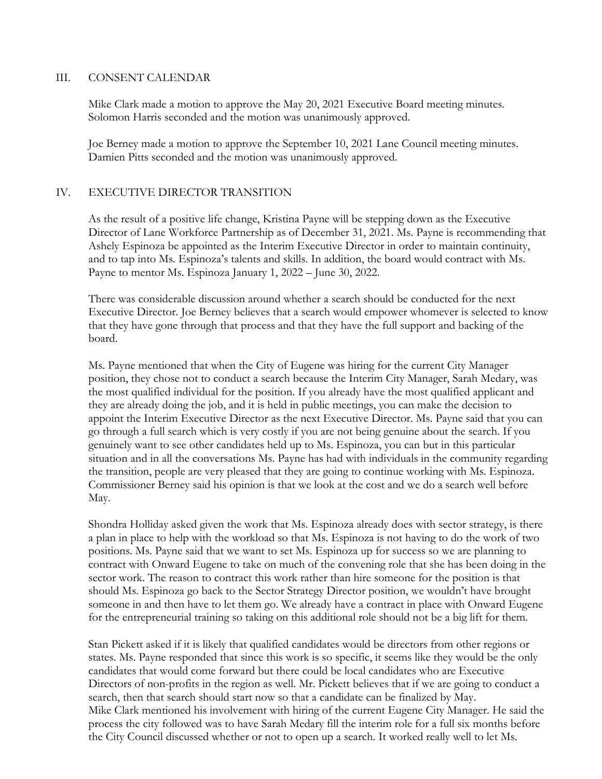#### III. CONSENT CALENDAR

Mike Clark made a motion to approve the May 20, 2021 Executive Board meeting minutes. Solomon Harris seconded and the motion was unanimously approved.

Joe Berney made a motion to approve the September 10, 2021 Lane Council meeting minutes. Damien Pitts seconded and the motion was unanimously approved.

## IV. EXECUTIVE DIRECTOR TRANSITION

As the result of a positive life change, Kristina Payne will be stepping down as the Executive Director of Lane Workforce Partnership as of December 31, 2021. Ms. Payne is recommending that Ashely Espinoza be appointed as the Interim Executive Director in order to maintain continuity, and to tap into Ms. Espinoza's talents and skills. In addition, the board would contract with Ms. Payne to mentor Ms. Espinoza January 1, 2022 – June 30, 2022.

There was considerable discussion around whether a search should be conducted for the next Executive Director. Joe Berney believes that a search would empower whomever is selected to know that they have gone through that process and that they have the full support and backing of the board.

Ms. Payne mentioned that when the City of Eugene was hiring for the current City Manager position, they chose not to conduct a search because the Interim City Manager, Sarah Medary, was the most qualified individual for the position. If you already have the most qualified applicant and they are already doing the job, and it is held in public meetings, you can make the decision to appoint the Interim Executive Director as the next Executive Director. Ms. Payne said that you can go through a full search which is very costly if you are not being genuine about the search. If you genuinely want to see other candidates held up to Ms. Espinoza, you can but in this particular situation and in all the conversations Ms. Payne has had with individuals in the community regarding the transition, people are very pleased that they are going to continue working with Ms. Espinoza. Commissioner Berney said his opinion is that we look at the cost and we do a search well before May.

Shondra Holliday asked given the work that Ms. Espinoza already does with sector strategy, is there a plan in place to help with the workload so that Ms. Espinoza is not having to do the work of two positions. Ms. Payne said that we want to set Ms. Espinoza up for success so we are planning to contract with Onward Eugene to take on much of the convening role that she has been doing in the sector work. The reason to contract this work rather than hire someone for the position is that should Ms. Espinoza go back to the Sector Strategy Director position, we wouldn't have brought someone in and then have to let them go. We already have a contract in place with Onward Eugene for the entrepreneurial training so taking on this additional role should not be a big lift for them.

Stan Pickett asked if it is likely that qualified candidates would be directors from other regions or states. Ms. Payne responded that since this work is so specific, it seems like they would be the only candidates that would come forward but there could be local candidates who are Executive Directors of non-profits in the region as well. Mr. Pickett believes that if we are going to conduct a search, then that search should start now so that a candidate can be finalized by May. Mike Clark mentioned his involvement with hiring of the current Eugene City Manager. He said the process the city followed was to have Sarah Medary fill the interim role for a full six months before the City Council discussed whether or not to open up a search. It worked really well to let Ms.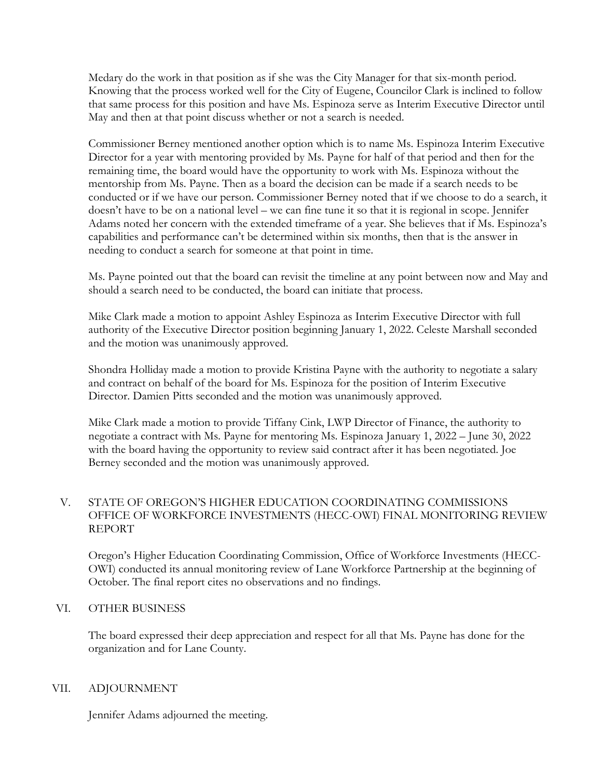Medary do the work in that position as if she was the City Manager for that six-month period. Knowing that the process worked well for the City of Eugene, Councilor Clark is inclined to follow that same process for this position and have Ms. Espinoza serve as Interim Executive Director until May and then at that point discuss whether or not a search is needed.

Commissioner Berney mentioned another option which is to name Ms. Espinoza Interim Executive Director for a year with mentoring provided by Ms. Payne for half of that period and then for the remaining time, the board would have the opportunity to work with Ms. Espinoza without the mentorship from Ms. Payne. Then as a board the decision can be made if a search needs to be conducted or if we have our person. Commissioner Berney noted that if we choose to do a search, it doesn't have to be on a national level – we can fine tune it so that it is regional in scope. Jennifer Adams noted her concern with the extended timeframe of a year. She believes that if Ms. Espinoza's capabilities and performance can't be determined within six months, then that is the answer in needing to conduct a search for someone at that point in time.

Ms. Payne pointed out that the board can revisit the timeline at any point between now and May and should a search need to be conducted, the board can initiate that process.

Mike Clark made a motion to appoint Ashley Espinoza as Interim Executive Director with full authority of the Executive Director position beginning January 1, 2022. Celeste Marshall seconded and the motion was unanimously approved.

Shondra Holliday made a motion to provide Kristina Payne with the authority to negotiate a salary and contract on behalf of the board for Ms. Espinoza for the position of Interim Executive Director. Damien Pitts seconded and the motion was unanimously approved.

Mike Clark made a motion to provide Tiffany Cink, LWP Director of Finance, the authority to negotiate a contract with Ms. Payne for mentoring Ms. Espinoza January 1, 2022 – June 30, 2022 with the board having the opportunity to review said contract after it has been negotiated. Joe Berney seconded and the motion was unanimously approved.

# V. STATE OF OREGON'S HIGHER EDUCATION COORDINATING COMMISSIONS OFFICE OF WORKFORCE INVESTMENTS (HECC-OWI) FINAL MONITORING REVIEW REPORT

Oregon's Higher Education Coordinating Commission, Office of Workforce Investments (HECC-OWI) conducted its annual monitoring review of Lane Workforce Partnership at the beginning of October. The final report cites no observations and no findings.

# VI. OTHER BUSINESS

The board expressed their deep appreciation and respect for all that Ms. Payne has done for the organization and for Lane County.

## VII. ADJOURNMENT

Jennifer Adams adjourned the meeting.